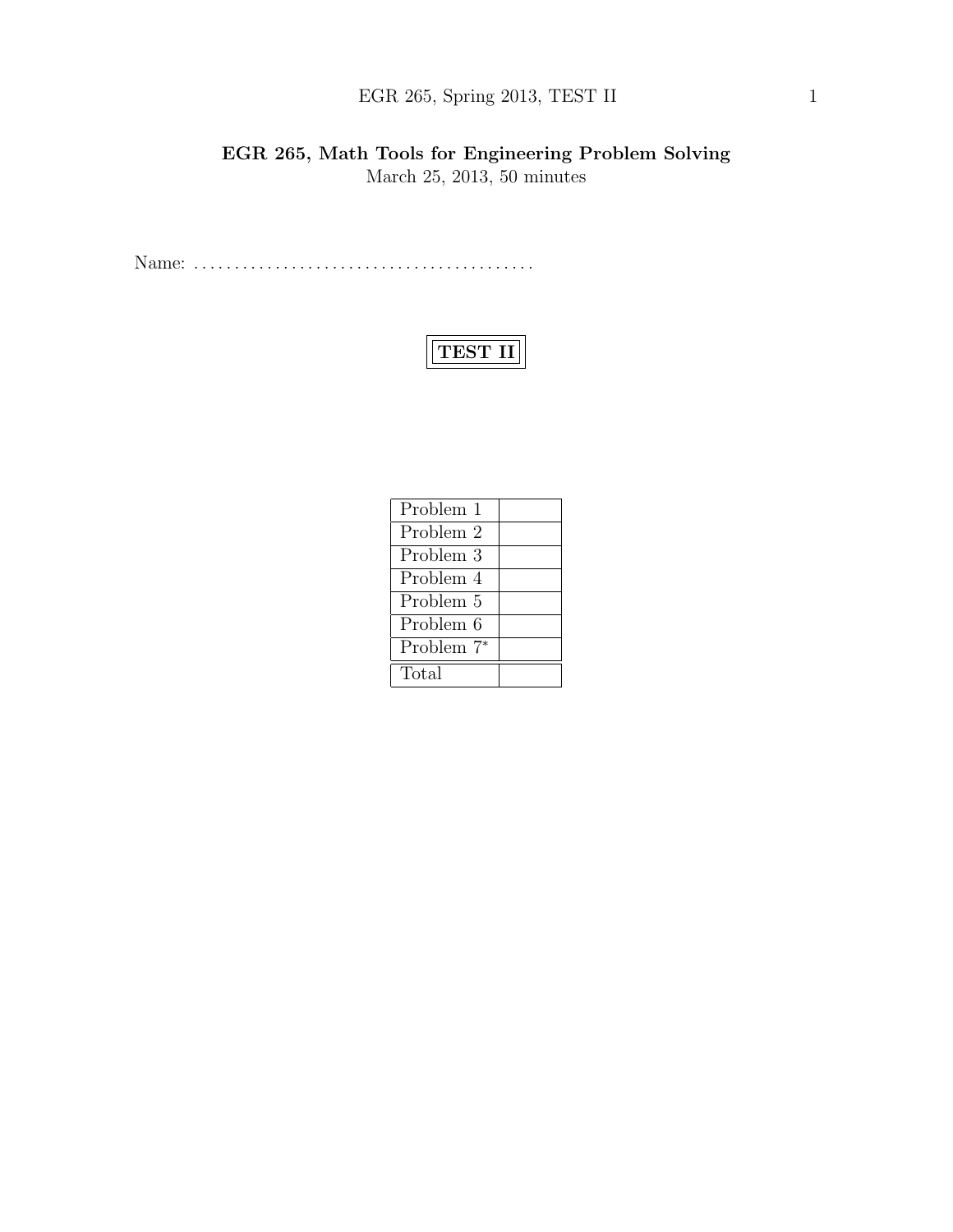## EGR 265, Spring 2013, TEST II 1

## EGR 265, Math Tools for Engineering Problem Solving March 25, 2013, 50 minutes

Name: . . . . . . . . . . . . . . . . . . . . . . . . . . . . . . . . . . . . . . . . . .

# TEST II

| Problem 1              |  |
|------------------------|--|
| Problem 2              |  |
| Problem 3              |  |
| Problem 4              |  |
| Problem 5              |  |
| Problem 6              |  |
| Problem 7 <sup>*</sup> |  |
| Total                  |  |
|                        |  |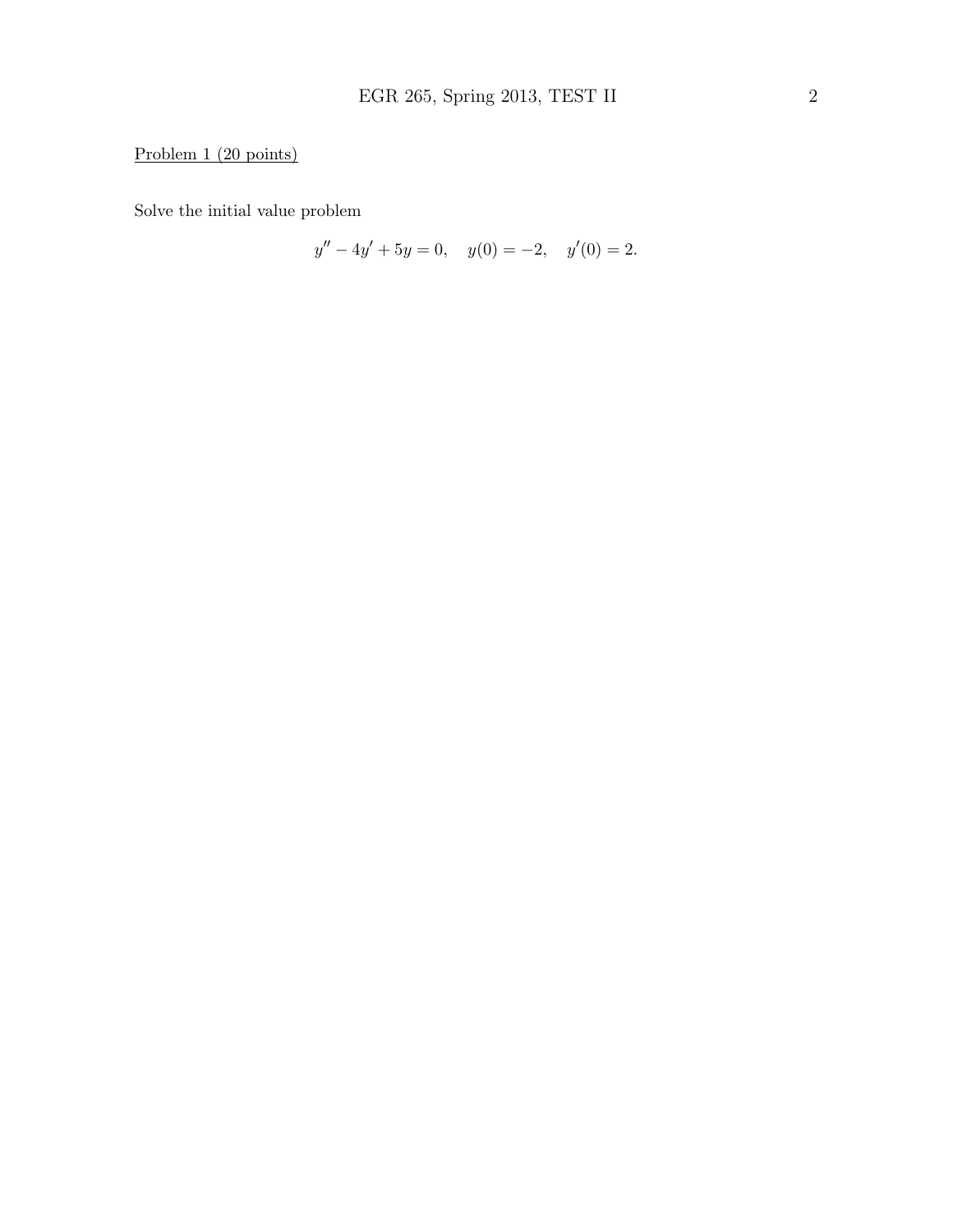## Problem 1 (20 points)

Solve the initial value problem

$$
y'' - 4y' + 5y = 0, \quad y(0) = -2, \quad y'(0) = 2.
$$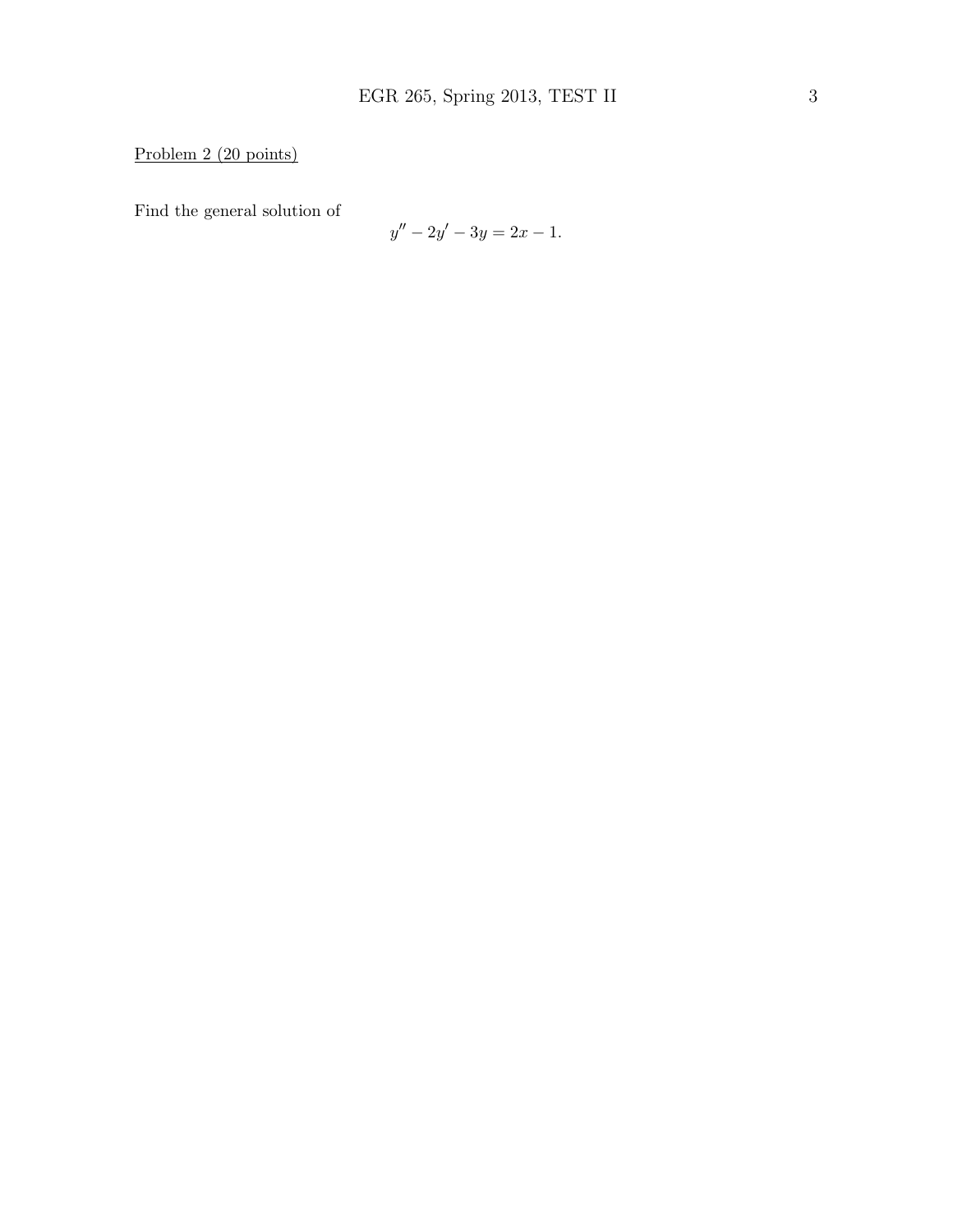Problem 2 (20 points)

Find the general solution of

$$
y'' - 2y' - 3y = 2x - 1.
$$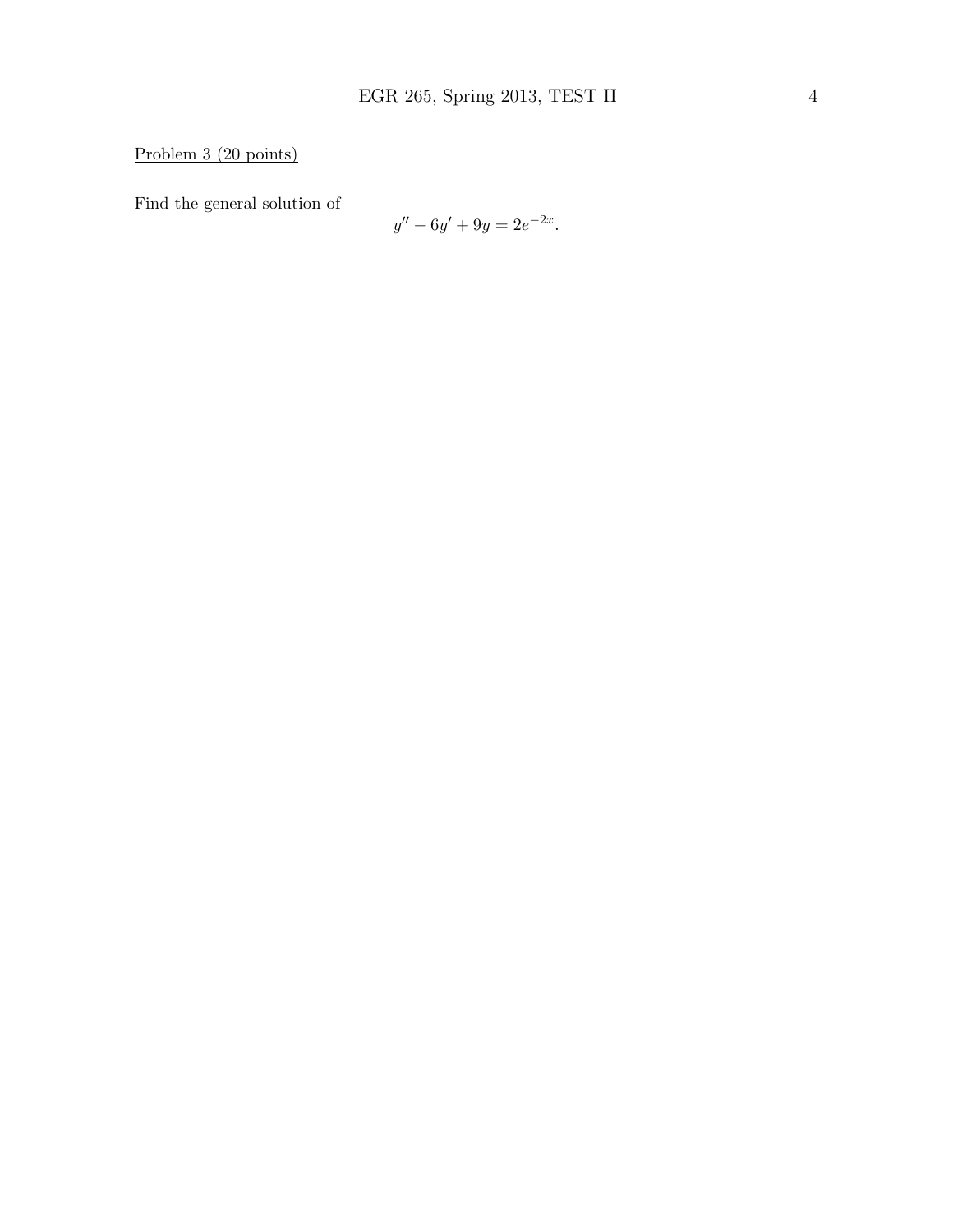Problem 3 (20 points)

Find the general solution of

$$
y'' - 6y' + 9y = 2e^{-2x}.
$$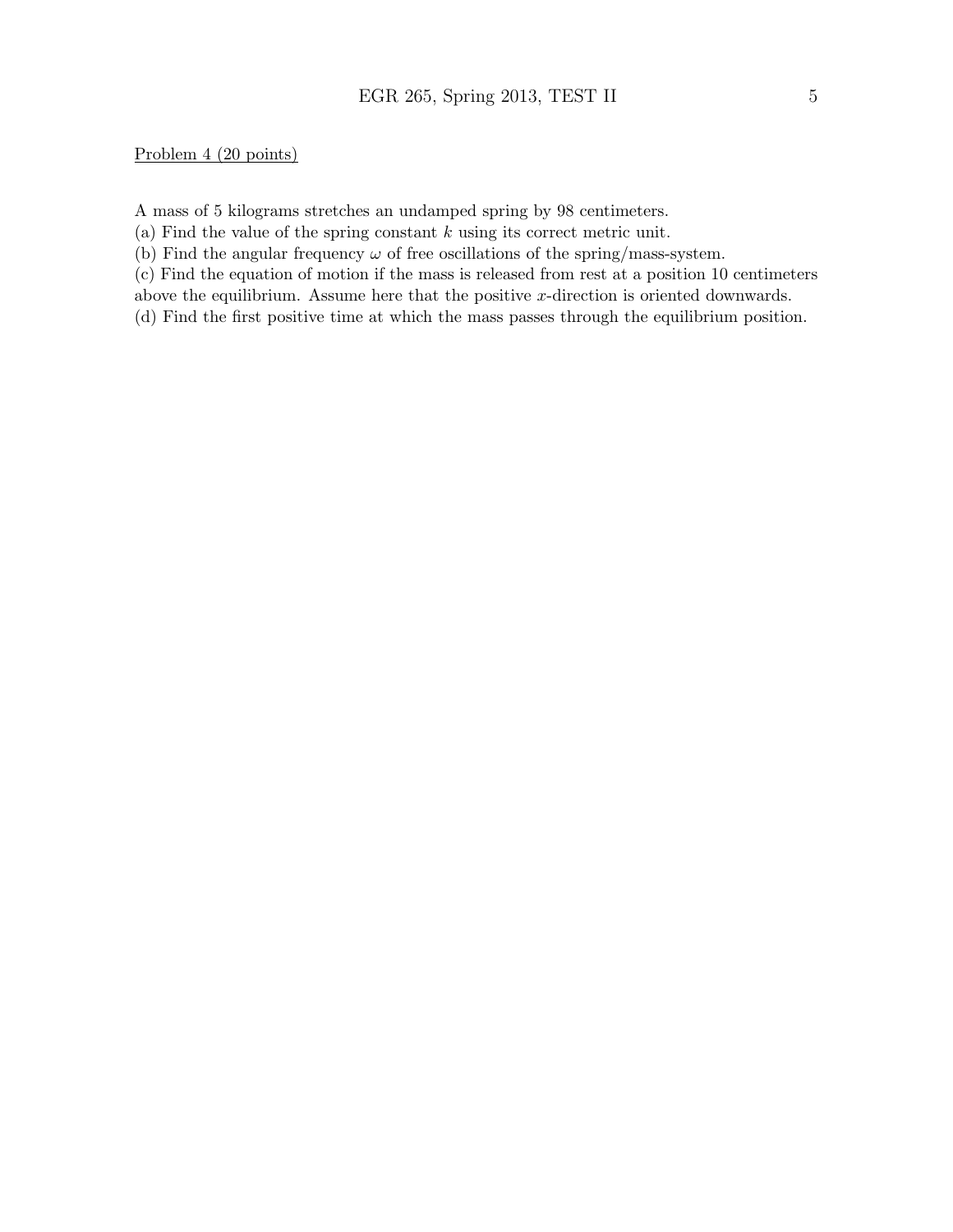#### Problem 4 (20 points)

A mass of 5 kilograms stretches an undamped spring by 98 centimeters.

(a) Find the value of the spring constant  $k$  using its correct metric unit.

(b) Find the angular frequency  $\omega$  of free oscillations of the spring/mass-system.

(c) Find the equation of motion if the mass is released from rest at a position 10 centimeters

above the equilibrium. Assume here that the positive x-direction is oriented downwards.

(d) Find the first positive time at which the mass passes through the equilibrium position.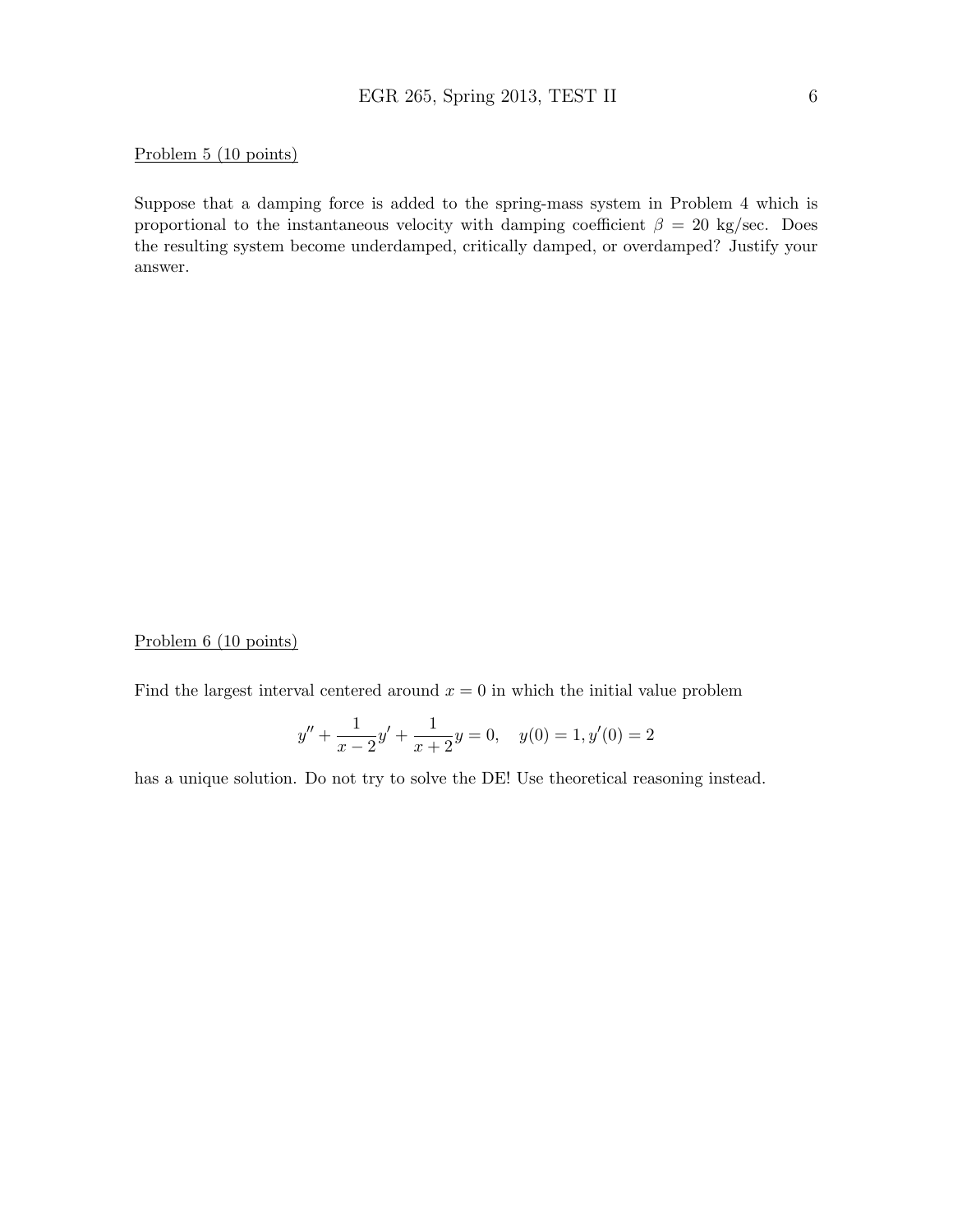#### Problem 5 (10 points)

Suppose that a damping force is added to the spring-mass system in Problem 4 which is proportional to the instantaneous velocity with damping coefficient  $\beta = 20$  kg/sec. Does the resulting system become underdamped, critically damped, or overdamped? Justify your answer.

#### Problem 6 (10 points)

Find the largest interval centered around  $x = 0$  in which the initial value problem

$$
y'' + \frac{1}{x-2}y' + \frac{1}{x+2}y = 0, \quad y(0) = 1, y'(0) = 2
$$

has a unique solution. Do not try to solve the DE! Use theoretical reasoning instead.